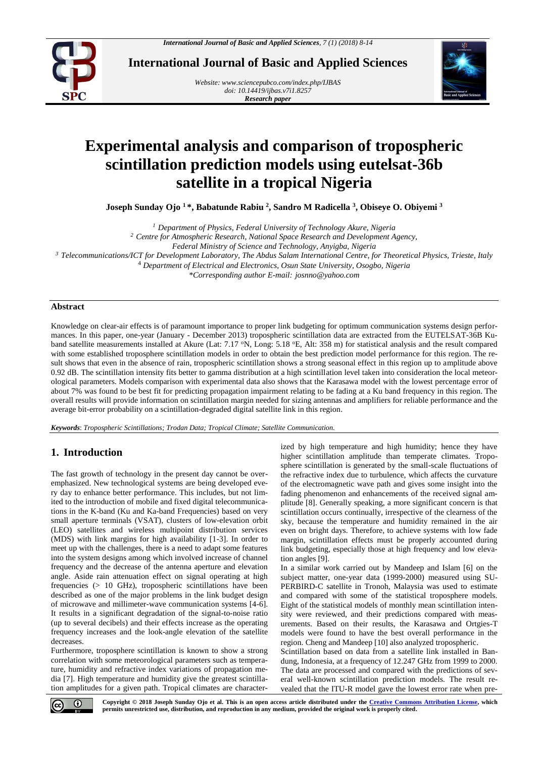

**International Journal of Basic and Applied Sciences**

*Website[: www.sciencepubco.com/index.php/IJBAS](http://www.sciencepubco.com/index.php/IJBAS) doi: 10.14419/ijbas.v7i1.8257 Research paper*



# **Experimental analysis and comparison of tropospheric scintillation prediction models using eutelsat-36b satellite in a tropical Nigeria**

**Joseph Sunday Ojo <sup>1</sup> \*, Babatunde Rabiu <sup>2</sup> , Sandro M Radicella <sup>3</sup> , Obiseye O. Obiyemi <sup>3</sup>**

*<sup>1</sup> Department of Physics, Federal University of Technology Akure, Nigeria*

*<sup>2</sup> Centre for Atmospheric Research, National Space Research and Development Agency,* 

*<sup>3</sup> Telecommunications/ICT for Development Laboratory, The Abdus Salam International Centre, for Theoretical Physics, Trieste, Italy* 

<sup>4</sup> *Department of Electrical and Electronics, Osun State University, Osogbo, Nigeria*

*\*Corresponding author E-mail: josnno@yahoo.com*

## **Abstract**

Knowledge on clear-air effects is of paramount importance to proper link budgeting for optimum communication systems design performances. In this paper, one-year (January - December 2013) tropospheric scintillation data are extracted from the EUTELSAT-36B Kuband satellite measurements installed at Akure (Lat: 7.17 °N, Long: 5.18 °E, Alt: 358 m) for statistical analysis and the result compared with some established troposphere scintillation models in order to obtain the best prediction model performance for this region. The result shows that even in the absence of rain, tropospheric scintillation shows a strong seasonal effect in this region up to amplitude above 0.92 dB. The scintillation intensity fits better to gamma distribution at a high scintillation level taken into consideration the local meteorological parameters. Models comparison with experimental data also shows that the Karasawa model with the lowest percentage error of about 7% was found to be best fit for predicting propagation impairment relating to be fading at a Ku band frequency in this region. The overall results will provide information on scintillation margin needed for sizing antennas and amplifiers for reliable performance and the average bit-error probability on a scintillation-degraded digital satellite link in this region.

*Keywords*: *Tropospheric Scintillations; Trodan Data; Tropical Climate; Satellite Communication.*

# **1. Introduction**

The fast growth of technology in the present day cannot be overemphasized. New technological systems are being developed every day to enhance better performance. This includes, but not limited to the introduction of mobile and fixed digital telecommunications in the K-band (Ku and Ka-band Frequencies) based on very small aperture terminals (VSAT), clusters of low-elevation orbit (LEO) satellites and wireless multipoint distribution services (MDS) with link margins for high availability [1-3]. In order to meet up with the challenges, there is a need to adapt some features into the system designs among which involved increase of channel frequency and the decrease of the antenna aperture and elevation angle. Aside rain attenuation effect on signal operating at high frequencies (> 10 GHz), tropospheric scintillations have been described as one of the major problems in the link budget design of microwave and millimeter-wave communication systems [4-6]. It results in a significant degradation of the signal-to-noise ratio (up to several decibels) and their effects increase as the operating frequency increases and the look-angle elevation of the satellite decreases.

Furthermore, troposphere scintillation is known to show a strong correlation with some meteorological parameters such as temperature, humidity and refractive index variations of propagation media [7]. High temperature and humidity give the greatest scintillation amplitudes for a given path. Tropical climates are characterized by high temperature and high humidity; hence they have higher scintillation amplitude than temperate climates. Troposphere scintillation is generated by the small-scale fluctuations of the refractive index due to turbulence, which affects the curvature of the electromagnetic wave path and gives some insight into the fading phenomenon and enhancements of the received signal amplitude [8]. Generally speaking, a more significant concern is that scintillation occurs continually, irrespective of the clearness of the sky, because the temperature and humidity remained in the air even on bright days. Therefore, to achieve systems with low fade margin, scintillation effects must be properly accounted during link budgeting, especially those at high frequency and low elevation angles [9].

In a similar work carried out by Mandeep and Islam [6] on the subject matter, one-year data (1999-2000) measured using SU-PERBIRD-C satellite in Tronoh, Malaysia was used to estimate and compared with some of the statistical troposphere models. Eight of the statistical models of monthly mean scintillation intensity were reviewed, and their predictions compared with measurements. Based on their results, the Karasawa and Ortgies-T models were found to have the best overall performance in the region. Cheng and Mandeep [10] also analyzed tropospheric.

Scintillation based on data from a satellite link installed in Bandung, Indonesia, at a frequency of 12.247 GHz from 1999 to 2000. The data are processed and compared with the predictions of several well-known scintillation prediction models. The result revealed that the ITU-R model gave the lowest error rate when pre-



*Federal Ministry of Science and Technology, Anyigba, Nigeria*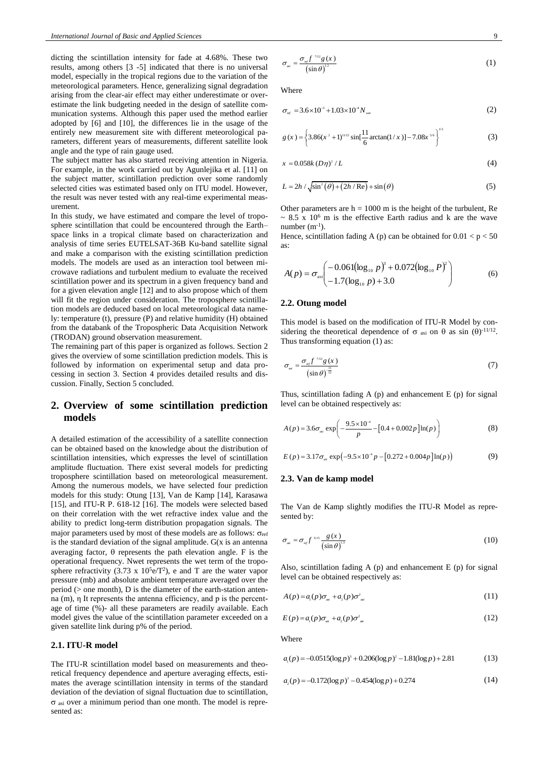dicting the scintillation intensity for fade at 4.68%. These two results, among others [3 -5] indicated that there is no universal model, especially in the tropical regions due to the variation of the meteorological parameters. Hence, generalizing signal degradation arising from the clear-air effect may either underestimate or overestimate the link budgeting needed in the design of satellite communication systems. Although this paper used the method earlier adopted by [6] and [10], the differences lie in the usage of the entirely new measurement site with different meteorological parameters, different years of measurements, different satellite look angle and the type of rain gauge used.

The subject matter has also started receiving attention in Nigeria. For example, in the work carried out by Agunlejika et al. [11] on the subject matter, scintillation prediction over some randomly selected cities was estimated based only on ITU model. However, the result was never tested with any real-time experimental measurement.

In this study, we have estimated and compare the level of troposphere scintillation that could be encountered through the Earth– space links in a tropical climate based on characterization and analysis of time series EUTELSAT-36B Ku-band satellite signal and make a comparison with the existing scintillation prediction models. The models are used as an interaction tool between microwave radiations and turbulent medium to evaluate the received scintillation power and its spectrum in a given frequency band and for a given elevation angle [12] and to also propose which of them will fit the region under consideration. The troposphere scintillation models are deduced based on local meteorological data namely: temperature (t), pressure (P) and relative humidity (H) obtained from the databank of the Tropospheric Data Acquisition Network (TRODAN) ground observation measurement.

The remaining part of this paper is organized as follows. Section 2 gives the overview of some scintillation prediction models. This is followed by information on experimental setup and data processing in section 3. Section 4 provides detailed results and discussion. Finally, Section 5 concluded.

# **2. Overview of some scintillation prediction models**

A detailed estimation of the accessibility of a satellite connection can be obtained based on the knowledge about the distribution of scintillation intensities, which expresses the level of scintillation amplitude fluctuation. There exist several models for predicting troposphere scintillation based on meteorological measurement. Among the numerous models, we have selected four prediction models for this study: Otung [13], Van de Kamp [14], Karasawa [15], and ITU-R P. 618-12 [16]. The models were selected based on their correlation with the wet refractive index value and the ability to predict long-term distribution propagation signals. The major parameters used by most of these models are as follows:  $\sigma_{ref}$ is the standard deviation of the signal amplitude.  $G(x)$  is an antenna averaging factor,  $\theta$  represents the path elevation angle. F is the operational frequency. Nwet represents the wet term of the troposphere refractivity (3.73 x  $10^5$ e/T<sup>2</sup>), e and T are the water vapor pressure (mb) and absolute ambient temperature averaged over the period (> one month), D is the diameter of the earth-station antenna (m), η It represents the antenna efficiency, and p is the percentage of time (%)- all these parameters are readily available. Each model gives the value of the scintillation parameter exceeded on a given satellite link during p% of the period.

# **2.1. ITU-R model**

The ITU-R scintillation model based on measurements and theoretical frequency dependence and aperture averaging effects, estimates the average scintillation intensity in terms of the standard deviation of the deviation of signal fluctuation due to scintillation,  $\sigma$  asi over a minimum period than one month. The model is represented as:

$$
\sigma_{\scriptscriptstyle \alpha i} = \frac{\sigma_{\scriptscriptstyle \alpha i} f^{\scriptscriptstyle \gamma n_2} g(x)}{\left(\sin \theta\right)^{12}} \tag{1}
$$

Where

$$
\sigma_{\text{ref}} = 3.6 \times 10^{-3} + 1.03 \times 10^{-4} N_{\text{net}} \tag{2}
$$

$$
g(x) = \left\{ 3.86(x^2 + 1)^{1/12} \sin\left[\frac{11}{6}\arctan(1/x)\right] - 7.08x^{5/6} \right\}^{1/2}
$$
 (3)

$$
x = 0.058k (D\eta)^2 / L \tag{4}
$$

$$
L = 2h / \sqrt{\sin^2(\theta) + (2h / \text{Re})} + \sin(\theta)
$$
 (5)

Other parameters are  $h = 1000$  m is the height of the turbulent, Re  $\sim$  8.5 x 10<sup>6</sup> m is the effective Earth radius and k are the wave number  $(m^{-1})$ .

Hence, scintillation fading A (p) can be obtained for  $0.01 < p < 50$ as:

$$
A(p) = \sigma_{\text{as}} \begin{pmatrix} -0.061(\log_{10} p)^3 + 0.072(\log_{10} P)^2 \\ -1.7(\log_{10} p) + 3.0 \end{pmatrix}
$$
 (6)

#### **2.2. Otung model**

This model is based on the modification of ITU-R Model by considering the theoretical dependence of  $\sigma$  asi on  $\theta$  as sin  $(\theta)^{-11/12}$ . Thus transforming equation (1) as:

$$
\sigma_{\scriptscriptstyle \alpha i} = \frac{\sigma_{\scriptscriptstyle \alpha f} f^{\scriptscriptstyle \gamma \scriptscriptstyle 112} g(x)}{\left(\sin \theta\right)^{\frac{11}{12}}} \tag{7}
$$

Thus, scintillation fading A (p) and enhancement E (p) for signal level can be obtained respectively as:

$$
A(p) = 3.6\sigma_{\text{as}} \exp\left(-\frac{9.5 \times 10^{-4}}{p} - \left[0.4 + 0.002p\right] \ln(p)\right) \tag{8}
$$

$$
E(p) = 3.17 \sigma_{\text{at}} \exp(-9.5 \times 10^{-4} p - [0.272 + 0.004 p] \ln(p))
$$
 (9)

#### **2.3. Van de kamp model**

The Van de Kamp slightly modifies the ITU-R Model as represented by:

$$
\sigma_{\scriptscriptstyle \alpha i} = \sigma_{\scriptscriptstyle \alpha j} f^{\scriptscriptstyle \alpha 15} \frac{g(x)}{\left(\sin \theta\right)^{\scriptscriptstyle 13}} \tag{10}
$$

Also, scintillation fading A  $(p)$  and enhancement E  $(p)$  for signal level can be obtained respectively as:

$$
A(p) = a_{\scriptscriptstyle 1}(p)\sigma_{\scriptscriptstyle a\bar{\scriptscriptstyle a}} + a_{\scriptscriptstyle 2}(p)\sigma^2_{\scriptscriptstyle a\bar{\scriptscriptstyle a}} \tag{11}
$$

$$
E(p) = a_1(p)\sigma_{\scriptscriptstyle{\text{ai}}} + a_2(p)\sigma_{\scriptscriptstyle{\text{ai}}}^2 \tag{12}
$$

Where

$$
a_{1}(p) = -0.0515(\log p)^{3} + 0.206(\log p)^{2} - 1.81(\log p) + 2.81
$$
 (13)

$$
a_{2}(p) = -0.172(\log p)^{2} - 0.454(\log p) + 0.274
$$
 (14)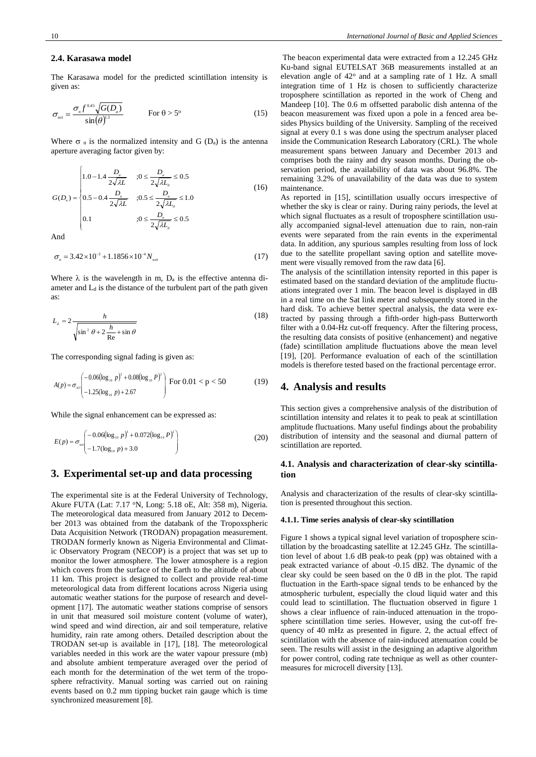#### **2.4. Karasawa model**

The Karasawa model for the predicted scintillation intensity is given as:

$$
\sigma_{_{asi}} = \frac{\sigma_{_{n}} f^{^{0.45}} \sqrt{G(D_{a})}}{\sin(\theta)^{13}} \qquad \text{For } \theta > 5^{\circ} \tag{15}
$$

Where  $\sigma_n$  is the normalized intensity and G (D<sub>a</sub>) is the antenna aperture averaging factor given by:

$$
G(D_a) = \begin{cases} 1.0 - 1.4 \frac{D_a}{2\sqrt{\lambda L}} & ; 0 \le \frac{D_a}{2\sqrt{\lambda L_a}} \le 0.5\\ 0.5 - 0.4 \frac{D_a}{2\sqrt{\lambda L}} & ; 0.5 \le \frac{D_a}{2\sqrt{\lambda L_a}} \le 1.0\\ 0.1 & ; 0 \le \frac{D_a}{2\sqrt{\lambda L_a}} \le 0.5 \end{cases} \tag{16}
$$

And

$$
\sigma_n = 3.42 \times 10^{-3} + 1.1856 \times 10^{-4} N_{\text{wet}} \tag{17}
$$

Where  $\lambda$  is the wavelength in m,  $D_a$  is the effective antenna diameter and  $L_d$  is the distance of the turbulent part of the path given as:

$$
L_{d} = 2 \frac{h}{\sqrt{\sin^{2} \theta + 2 \frac{h}{\text{Re}} + \sin \theta}}
$$
(18)

The corresponding signal fading is given as:

$$
A(p) = \sigma_{\text{as}} \begin{pmatrix} -0.06(\log_{10} p)^3 + 0.08(\log_{10} P)^2 \\ -1.25(\log_{10} p) + 2.67 \end{pmatrix} \text{ For } 0.01 < p < 50 \tag{19}
$$

While the signal enhancement can be expressed as:

$$
E(p) = \sigma_{\text{as}} \begin{pmatrix} -0.06(\log_{10} p)^3 + 0.072(\log_{10} P)^2 \\ -1.7(\log_{10} p) + 3.0 \end{pmatrix}
$$
 (20)

#### **3. Experimental set-up and data processing**

The experimental site is at the Federal University of Technology, Akure FUTA (Lat: 7.17 °N, Long: 5.18 oE, Alt: 358 m), Nigeria. The meteorological data measured from January 2012 to December 2013 was obtained from the databank of the Tropoxspheric Data Acquisition Network (TRODAN) propagation measurement. TRODAN formerly known as Nigeria Environmental and Climatic Observatory Program (NECOP) is a project that was set up to monitor the lower atmosphere. The lower atmosphere is a region which covers from the surface of the Earth to the altitude of about 11 km. This project is designed to collect and provide real-time meteorological data from different locations across Nigeria using automatic weather stations for the purpose of research and development [17]. The automatic weather stations comprise of sensors in unit that measured soil moisture content (volume of water), wind speed and wind direction, air and soil temperature, relative humidity, rain rate among others. Detailed description about the TRODAN set-up is available in [17], [18]. The meteorological variables needed in this work are the water vapour pressure (mb) and absolute ambient temperature averaged over the period of each month for the determination of the wet term of the troposphere refractivity. Manual sorting was carried out on raining events based on 0.2 mm tipping bucket rain gauge which is time synchronized measurement [8].

The beacon experimental data were extracted from a 12.245 GHz Ku-band signal EUTELSAT 36B measurements installed at an elevation angle of  $42^{\circ}$  and at a sampling rate of 1 Hz. A small integration time of 1 Hz is chosen to sufficiently characterize troposphere scintillation as reported in the work of Cheng and Mandeep [10]. The 0.6 m offsetted parabolic dish antenna of the beacon measurement was fixed upon a pole in a fenced area besides Physics building of the University. Sampling of the received signal at every 0.1 s was done using the spectrum analyser placed inside the Communication Research Laboratory (CRL). The whole measurement spans between January and December 2013 and comprises both the rainy and dry season months. During the observation period, the availability of data was about 96.8%. The remaining 3.2% of unavailability of the data was due to system maintenance.

As reported in [15], scintillation usually occurs irrespective of whether the sky is clear or rainy. During rainy periods, the level at which signal fluctuates as a result of troposphere scintillation usually accompanied signal-level attenuation due to rain, non-rain events were separated from the rain events in the experimental data. In addition, any spurious samples resulting from loss of lock due to the satellite propellant saving option and satellite movement were visually removed from the raw data [6].

The analysis of the scintillation intensity reported in this paper is estimated based on the standard deviation of the amplitude fluctuations integrated over 1 min. The beacon level is displayed in dB in a real time on the Sat link meter and subsequently stored in the hard disk. To achieve better spectral analysis, the data were extracted by passing through a fifth-order high-pass Butterworth filter with a 0.04-Hz cut-off frequency. After the filtering process, the resulting data consists of positive (enhancement) and negative (fade) scintillation amplitude fluctuations above the mean level [19], [20]. Performance evaluation of each of the scintillation models is therefore tested based on the fractional percentage error.

# **4. Analysis and results**

This section gives a comprehensive analysis of the distribution of scintillation intensity and relates it to peak to peak at scintillation amplitude fluctuations. Many useful findings about the probability distribution of intensity and the seasonal and diurnal pattern of scintillation are reported.

## **4.1. Analysis and characterization of clear-sky scintillation**

Analysis and characterization of the results of clear-sky scintillation is presented throughout this section.

#### **4.1.1. Time series analysis of clear-sky scintillation**

Figure 1 shows a typical signal level variation of troposphere scintillation by the broadcasting satellite at 12.245 GHz. The scintillation level of about 1.6 dB peak-to peak (pp) was obtained with a peak extracted variance of about -0.15 dB2. The dynamic of the clear sky could be seen based on the 0 dB in the plot. The rapid fluctuation in the Earth-space signal tends to be enhanced by the atmospheric turbulent, especially the cloud liquid water and this could lead to scintillation. The fluctuation observed in figure 1 shows a clear influence of rain-induced attenuation in the troposphere scintillation time series. However, using the cut-off frequency of 40 mHz as presented in figure. 2, the actual effect of scintillation with the absence of rain-induced attenuation could be seen. The results will assist in the designing an adaptive algorithm for power control, coding rate technique as well as other countermeasures for microcell diversity [13].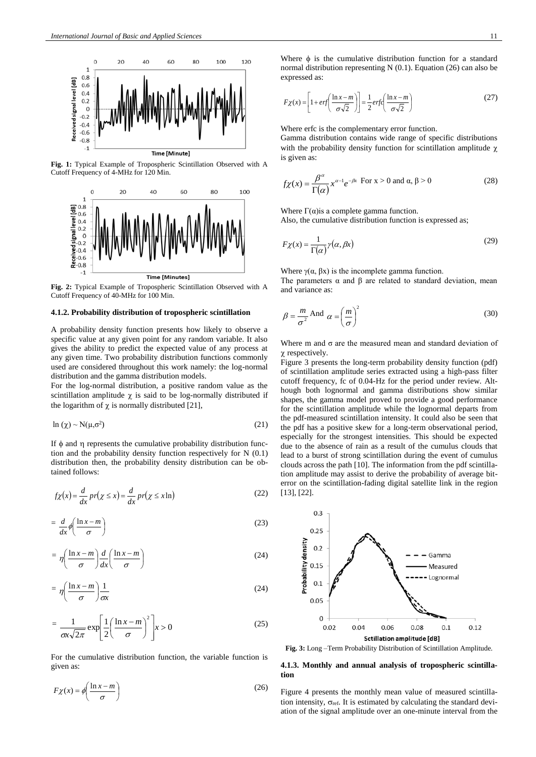

**Fig. 1:** Typical Example of Tropospheric Scintillation Observed with A Cutoff Frequency of 4-MHz for 120 Min.



**Fig. 2:** Typical Example of Tropospheric Scintillation Observed with A Cutoff Frequency of 40-MHz for 100 Min.

#### **4.1.2. Probability distribution of tropospheric scintillation**

A probability density function presents how likely to observe a specific value at any given point for any random variable. It also gives the ability to predict the expected value of any process at any given time. Two probability distribution functions commonly used are considered throughout this work namely: the log-normal distribution and the gamma distribution models.

For the log-normal distribution, a positive random value as the scintillation amplitude  $\chi$  is said to be log-normally distributed if the logarithm of  $\chi$  is normally distributed [21],

$$
\ln\left(\chi\right) \sim N(\mu, \sigma^2) \tag{21}
$$

If  $\phi$  and  $\eta$  represents the cumulative probability distribution function and the probability density function respectively for N (0.1) distribution then, the probability density distribution can be obtained follows:

$$
f\chi(x) = \frac{d}{dx}pr(\chi \le x) = \frac{d}{dx}pr(\chi \le x \ln)
$$
 (22)

$$
= \frac{d}{dx} \phi \left( \frac{\ln x - m}{\sigma} \right) \tag{23}
$$

$$
= \eta \left( \frac{\ln x - m}{\sigma} \right) \frac{d}{dx} \left( \frac{\ln x - m}{\sigma} \right) \tag{24}
$$

$$
= \eta \left( \frac{\ln x - m}{\sigma} \right) \frac{1}{\sigma x} \tag{24}
$$

$$
= \frac{1}{\alpha \sqrt{2\pi}} \exp\left[\frac{1}{2} \left(\frac{\ln x - m}{\sigma}\right)^2\right] x > 0
$$
 (25)

For the cumulative distribution function, the variable function is given as:

$$
F\chi(x) = \phi\left(\frac{\ln x - m}{\sigma}\right) \tag{26}
$$

Where  $\phi$  is the cumulative distribution function for a standard normal distribution representing N (0.1). Equation (26) can also be expressed as:

$$
F\chi(x) = \left[1 + erf\left(\frac{\ln x - m}{\sigma\sqrt{2}}\right)\right] = \frac{1}{2} erfc\left(\frac{\ln x - m}{\sigma\sqrt{2}}\right)
$$
 (27)

Where erfc is the complementary error function.

Gamma distribution contains wide range of specific distributions with the probability density function for scintillation amplitude  $\chi$ is given as:

$$
f\chi(x) = \frac{\beta^{\alpha}}{\Gamma(\alpha)} x^{\alpha - 1} e^{-\beta x} \text{ For } x > 0 \text{ and } \alpha, \beta > 0
$$
 (28)

Where  $\Gamma(\alpha)$  is a complete gamma function.

Also, the cumulative distribution function is expressed as;

$$
F\chi(x) = \frac{1}{\Gamma(\alpha)}\gamma(\alpha,\beta x)
$$
\n(29)

Where  $\gamma(\alpha, \beta x)$  is the incomplete gamma function. The parameters  $\alpha$  and  $\beta$  are related to standard deviation, mean and variance as:

$$
\beta = \frac{m}{\sigma^2} \text{ And } \alpha = \left(\frac{m}{\sigma}\right)^2 \tag{30}
$$

Where m and  $\sigma$  are the measured mean and standard deviation of  $\chi$  respectively.

Figure 3 presents the long-term probability density function (pdf) of scintillation amplitude series extracted using a high-pass filter cutoff frequency, fc of 0.04-Hz for the period under review. Although both lognormal and gamma distributions show similar shapes, the gamma model proved to provide a good performance for the scintillation amplitude while the lognormal departs from the pdf-measured scintillation intensity. It could also be seen that the pdf has a positive skew for a long-term observational period, especially for the strongest intensities. This should be expected due to the absence of rain as a result of the cumulus clouds that lead to a burst of strong scintillation during the event of cumulus clouds across the path [10]. The information from the pdf scintillation amplitude may assist to derive the probability of average biterror on the scintillation-fading digital satellite link in the region [13], [22].



**Fig. 3:** Long –Term Probability Distribution of Scintillation Amplitude.

### **4.1.3. Monthly and annual analysis of tropospheric scintillation**

Figure 4 presents the monthly mean value of measured scintillation intensity,  $\sigma_{ref.}$  It is estimated by calculating the standard deviation of the signal amplitude over an one-minute interval from the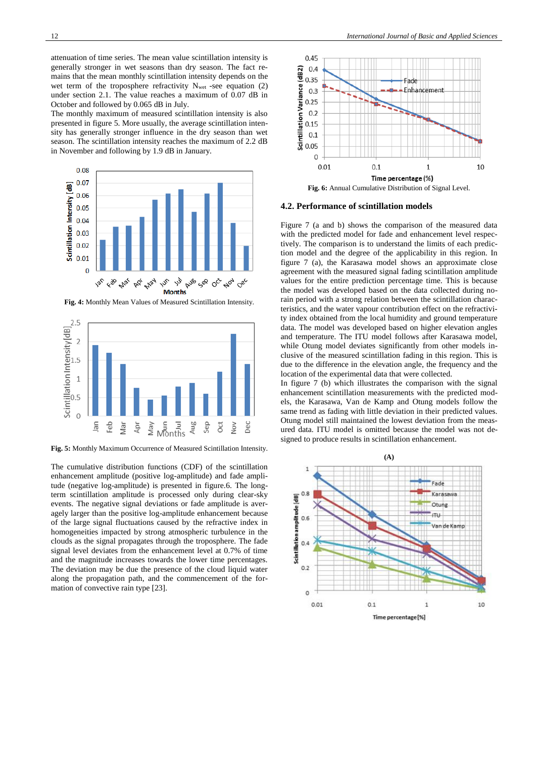attenuation of time series. The mean value scintillation intensity is generally stronger in wet seasons than dry season. The fact remains that the mean monthly scintillation intensity depends on the wet term of the troposphere refractivity  $N_{wet}$  -see equation (2) under section 2.1. The value reaches a maximum of 0.07 dB in October and followed by 0.065 dB in July.

The monthly maximum of measured scintillation intensity is also presented in figure 5. More usually, the average scintillation intensity has generally stronger influence in the dry season than wet season. The scintillation intensity reaches the maximum of 2.2 dB in November and following by 1.9 dB in January.



**Fig. 4:** Monthly Mean Values of Measured Scintillation Intensity.



**Fig. 5:** Monthly Maximum Occurrence of Measured Scintillation Intensity.

The cumulative distribution functions (CDF) of the scintillation enhancement amplitude (positive log-amplitude) and fade amplitude (negative log-amplitude) is presented in figure.6. The longterm scintillation amplitude is processed only during clear-sky events. The negative signal deviations or fade amplitude is averagely larger than the positive log-amplitude enhancement because of the large signal fluctuations caused by the refractive index in homogeneities impacted by strong atmospheric turbulence in the clouds as the signal propagates through the troposphere. The fade signal level deviates from the enhancement level at 0.7% of time and the magnitude increases towards the lower time percentages. The deviation may be due the presence of the cloud liquid water along the propagation path, and the commencement of the formation of convective rain type [23].



#### **4.2. Performance of scintillation models**

Figure 7 (a and b) shows the comparison of the measured data with the predicted model for fade and enhancement level respectively. The comparison is to understand the limits of each prediction model and the degree of the applicability in this region. In figure 7 (a), the Karasawa model shows an approximate close agreement with the measured signal fading scintillation amplitude values for the entire prediction percentage time. This is because the model was developed based on the data collected during norain period with a strong relation between the scintillation characteristics, and the water vapour contribution effect on the refractivity index obtained from the local humidity and ground temperature data. The model was developed based on higher elevation angles and temperature. The ITU model follows after Karasawa model, while Otung model deviates significantly from other models inclusive of the measured scintillation fading in this region. This is due to the difference in the elevation angle, the frequency and the location of the experimental data that were collected.

In figure 7 (b) which illustrates the comparison with the signal enhancement scintillation measurements with the predicted models, the Karasawa, Van de Kamp and Otung models follow the same trend as fading with little deviation in their predicted values. Otung model still maintained the lowest deviation from the measured data. ITU model is omitted because the model was not designed to produce results in scintillation enhancement.

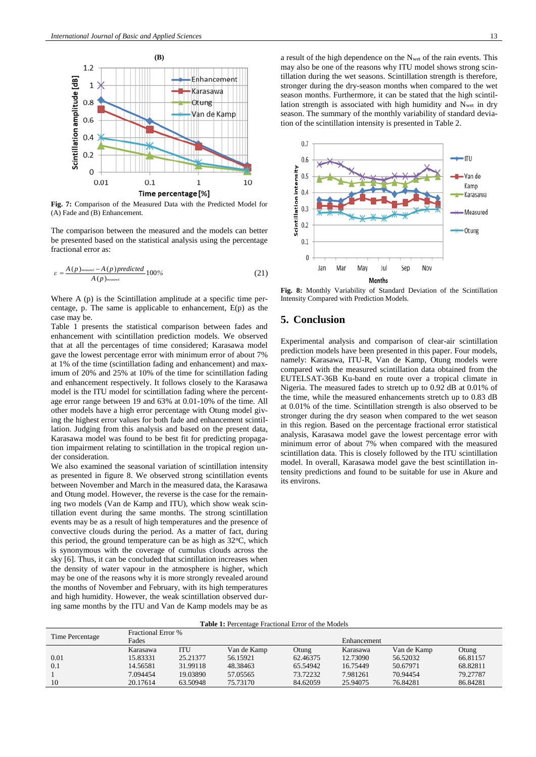

**Fig. 7:** Comparison of the Measured Data with the Predicted Model for (A) Fade and (B) Enhancement.

The comparison between the measured and the models can better be presented based on the statistical analysis using the percentage fractional error as:

$$
\varepsilon = \frac{A(p)_{\text{measured}} - A(p) \text{predicted}}{A(p)_{\text{measured}}} 100\%
$$
\n(21)

Where A (p) is the Scintillation amplitude at a specific time percentage, p. The same is applicable to enhancement, E(p) as the case may be.

Table 1 presents the statistical comparison between fades and enhancement with scintillation prediction models. We observed that at all the percentages of time considered; Karasawa model gave the lowest percentage error with minimum error of about 7% at 1% of the time (scintillation fading and enhancement) and maximum of 20% and 25% at 10% of the time for scintillation fading and enhancement respectively. It follows closely to the Karasawa model is the ITU model for scintillation fading where the percentage error range between 19 and 63% at 0.01-10% of the time. All other models have a high error percentage with Otung model giving the highest error values for both fade and enhancement scintillation. Judging from this analysis and based on the present data, Karasawa model was found to be best fit for predicting propagation impairment relating to scintillation in the tropical region under consideration.

We also examined the seasonal variation of scintillation intensity as presented in figure 8. We observed strong scintillation events between November and March in the measured data, the Karasawa and Otung model. However, the reverse is the case for the remaining two models (Van de Kamp and ITU), which show weak scintillation event during the same months. The strong scintillation events may be as a result of high temperatures and the presence of convective clouds during the period. As a matter of fact, during this period, the ground temperature can be as high as  $32^{\circ}$ C, which is synonymous with the coverage of cumulus clouds across the sky [6]. Thus, it can be concluded that scintillation increases when the density of water vapour in the atmosphere is higher, which may be one of the reasons why it is more strongly revealed around the months of November and February, with its high temperatures and high humidity. However, the weak scintillation observed during same months by the ITU and Van de Kamp models may be as

a result of the high dependence on the Nwet of the rain events. This may also be one of the reasons why ITU model shows strong scintillation during the wet seasons. Scintillation strength is therefore, stronger during the dry-season months when compared to the wet season months. Furthermore, it can be stated that the high scintillation strength is associated with high humidity and Nwet in dry season. The summary of the monthly variability of standard deviation of the scintillation intensity is presented in Table 2.



**Fig. 8:** Monthly Variability of Standard Deviation of the Scintillation Intensity Compared with Prediction Models.

# **5. Conclusion**

Experimental analysis and comparison of clear-air scintillation prediction models have been presented in this paper. Four models, namely: Karasawa, ITU-R, Van de Kamp, Otung models were compared with the measured scintillation data obtained from the EUTELSAT-36B Ku-band en route over a tropical climate in Nigeria. The measured fades to stretch up to 0.92 dB at 0.01% of the time, while the measured enhancements stretch up to 0.83 dB at 0.01% of the time. Scintillation strength is also observed to be stronger during the dry season when compared to the wet season in this region. Based on the percentage fractional error statistical analysis, Karasawa model gave the lowest percentage error with minimum error of about 7% when compared with the measured scintillation data. This is closely followed by the ITU scintillation model. In overall, Karasawa model gave the best scintillation intensity predictions and found to be suitable for use in Akure and its environs.

**Table 1:** Percentage Fractional Error of the Models

| Time Percentage | <b>Fractional Error</b> % |          |             |             |          |             |          |  |  |  |
|-----------------|---------------------------|----------|-------------|-------------|----------|-------------|----------|--|--|--|
|                 | Fades                     |          |             | Enhancement |          |             |          |  |  |  |
|                 | Karasawa                  | ITU      | Van de Kamp | Otung       | Karasawa | Van de Kamp | Otung    |  |  |  |
| 0.01            | 15.83331                  | 25.21377 | 56.15921    | 62.46375    | 12.73090 | 56.52032    | 66.81157 |  |  |  |
| 0.1             | 14.56581                  | 31.99118 | 48.38463    | 65.54942    | 16.75449 | 50.67971    | 68.82811 |  |  |  |
|                 | 7.094454                  | 19.03890 | 57.05565    | 73.72232    | 7.981261 | 70.94454    | 79.27787 |  |  |  |
| 10              | 20.17614                  | 63.50948 | 75.73170    | 84.62059    | 25.94075 | 76.84281    | 86.84281 |  |  |  |